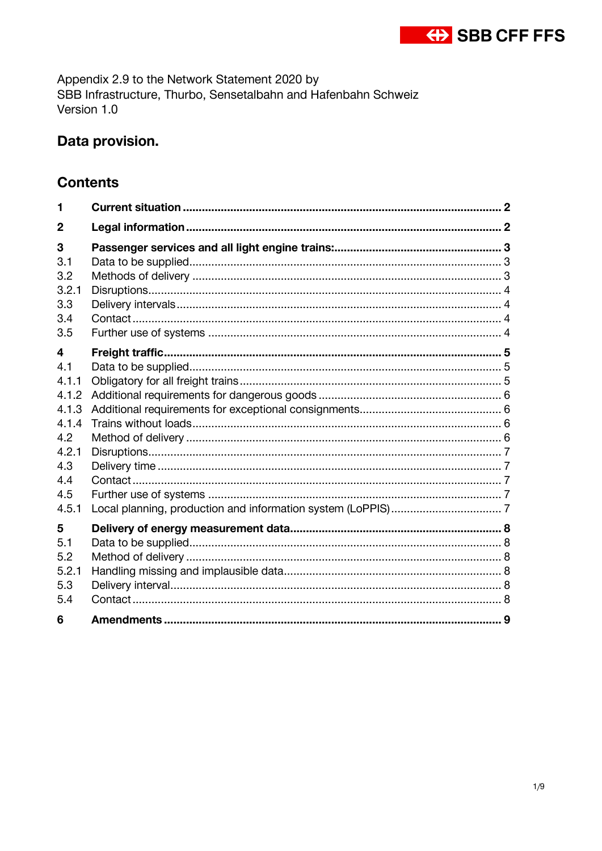

Appendix 2.9 to the Network Statement 2020 by SBB Infrastructure, Thurbo, Sensetalbahn and Hafenbahn Schweiz Version 1.0

# Data provision.

## **Contents**

| 1                                                                                          |  |
|--------------------------------------------------------------------------------------------|--|
| $\overline{2}$                                                                             |  |
| 3<br>3.1<br>3.2<br>3.2.1                                                                   |  |
| 3.3<br>3.4<br>3.5                                                                          |  |
| 4<br>4.1<br>4.1.1<br>4.1.2<br>4.1.3<br>4.1.4<br>4.2<br>4.2.1<br>4.3<br>4.4<br>4.5<br>4.5.1 |  |
| 5<br>5.1<br>5.2<br>5.2.1<br>5.3<br>5.4<br>6                                                |  |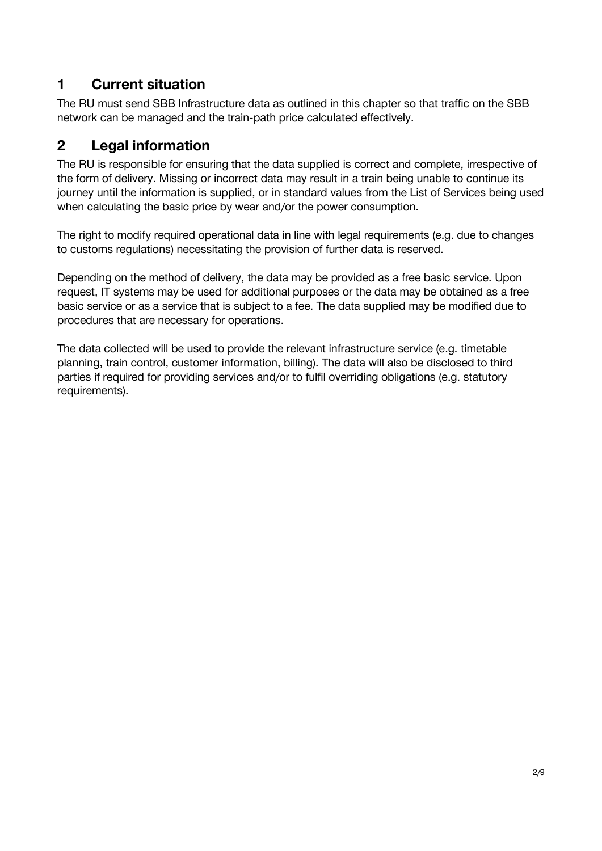# <span id="page-1-0"></span>**1 Current situation**

The RU must send SBB Infrastructure data as outlined in this chapter so that traffic on the SBB network can be managed and the train-path price calculated effectively.

# <span id="page-1-1"></span>**2 Legal information**

The RU is responsible for ensuring that the data supplied is correct and complete, irrespective of the form of delivery. Missing or incorrect data may result in a train being unable to continue its journey until the information is supplied, or in standard values from the List of Services being used when calculating the basic price by wear and/or the power consumption.

The right to modify required operational data in line with legal requirements (e.g. due to changes to customs regulations) necessitating the provision of further data is reserved.

Depending on the method of delivery, the data may be provided as a free basic service. Upon request, IT systems may be used for additional purposes or the data may be obtained as a free basic service or as a service that is subject to a fee. The data supplied may be modified due to procedures that are necessary for operations.

The data collected will be used to provide the relevant infrastructure service (e.g. timetable planning, train control, customer information, billing). The data will also be disclosed to third parties if required for providing services and/or to fulfil overriding obligations (e.g. statutory requirements).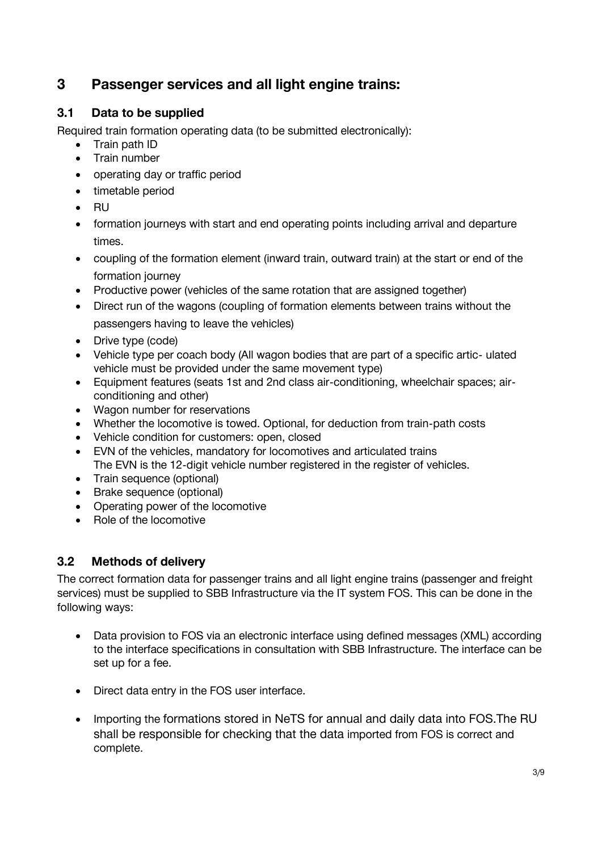# <span id="page-2-0"></span>**3 Passenger services and all light engine trains:**

### <span id="page-2-1"></span>**3.1 Data to be supplied**

Required train formation operating data (to be submitted electronically):

- Train path ID
- Train number
- operating day or traffic period
- timetable period
- RU
- formation journeys with start and end operating points including arrival and departure times.
- coupling of the formation element (inward train, outward train) at the start or end of the formation journey
- Productive power (vehicles of the same rotation that are assigned together)
- Direct run of the wagons (coupling of formation elements between trains without the passengers having to leave the vehicles)
- Drive type (code)
- Vehicle type per coach body (All wagon bodies that are part of a specific artic- ulated vehicle must be provided under the same movement type)
- Equipment features (seats 1st and 2nd class air-conditioning, wheelchair spaces; airconditioning and other)
- Wagon number for reservations
- Whether the locomotive is towed. Optional, for deduction from train-path costs
- Vehicle condition for customers: open, closed
- EVN of the vehicles, mandatory for locomotives and articulated trains The EVN is the 12-digit vehicle number registered in the register of vehicles.
- Train sequence (optional)
- Brake sequence (optional)
- Operating power of the locomotive
- Role of the locomotive

# <span id="page-2-2"></span>**3.2 Methods of delivery**

The correct formation data for passenger trains and all light engine trains (passenger and freight services) must be supplied to SBB Infrastructure via the IT system FOS. This can be done in the following ways:

- Data provision to FOS via an electronic interface using defined messages (XML) according to the interface specifications in consultation with SBB Infrastructure. The interface can be set up for a fee.
- Direct data entry in the FOS user interface.
- Importing the formations stored in NeTS for annual and daily data into FOS.The RU shall be responsible for checking that the data imported from FOS is correct and complete.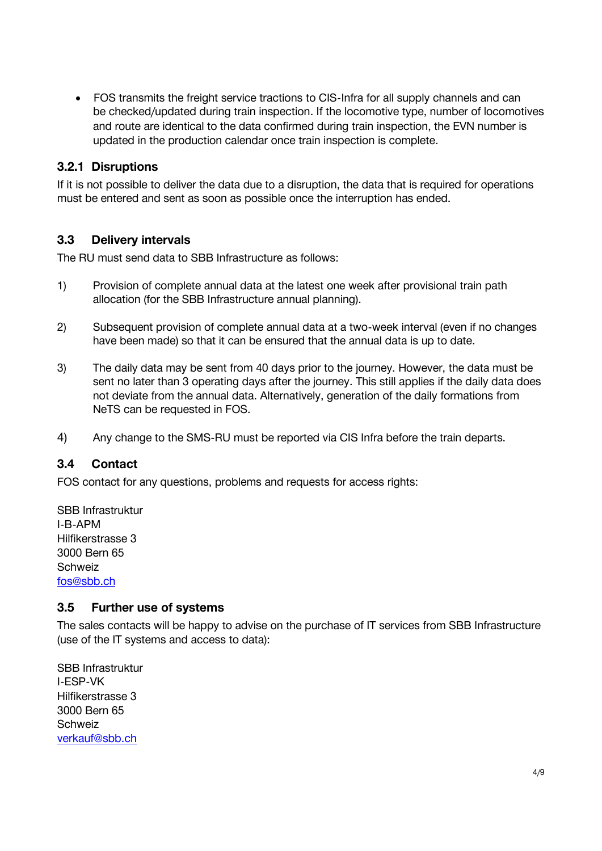• FOS transmits the freight service tractions to CIS-Infra for all supply channels and can be checked/updated during train inspection. If the locomotive type, number of locomotives and route are identical to the data confirmed during train inspection, the EVN number is updated in the production calendar once train inspection is complete.

#### <span id="page-3-0"></span>**3.2.1 Disruptions**

If it is not possible to deliver the data due to a disruption, the data that is required for operations must be entered and sent as soon as possible once the interruption has ended.

#### <span id="page-3-1"></span>**3.3 Delivery intervals**

The RU must send data to SBB Infrastructure as follows:

- 1) Provision of complete annual data at the latest one week after provisional train path allocation (for the SBB Infrastructure annual planning).
- 2) Subsequent provision of complete annual data at a two-week interval (even if no changes have been made) so that it can be ensured that the annual data is up to date.
- 3) The daily data may be sent from 40 days prior to the journey. However, the data must be sent no later than 3 operating days after the journey. This still applies if the daily data does not deviate from the annual data. Alternatively, generation of the daily formations from NeTS can be requested in FOS.
- <span id="page-3-2"></span>4) Any change to the SMS-RU must be reported via CIS Infra before the train departs.

#### **3.4 Contact**

FOS contact for any questions, problems and requests for access rights:

SBB Infrastruktur I-B-APM Hilfikerstrasse 3 3000 Bern 65 **Schweiz** [fos@sbb.ch](mailto:fos@sbb.ch)

#### <span id="page-3-3"></span>**3.5 Further use of systems**

The sales contacts will be happy to advise on the purchase of IT services from SBB Infrastructure (use of the IT systems and access to data):

SBB Infrastruktur I-ESP-VK Hilfikerstrasse 3 3000 Bern 65 Schweiz [verkauf@sbb.ch](mailto:verkauf@sbb.ch)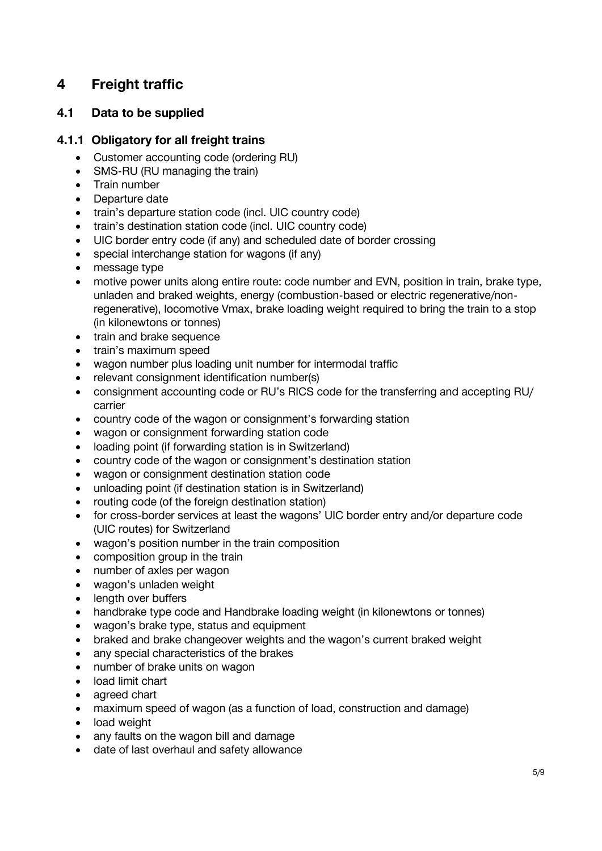# <span id="page-4-0"></span>**4 Freight traffic**

### <span id="page-4-1"></span>**4.1 Data to be supplied**

#### <span id="page-4-2"></span>**4.1.1 Obligatory for all freight trains**

- Customer accounting code (ordering RU)
- SMS-RU (RU managing the train)
- Train number
- Departure date
- train's departure station code (incl. UIC country code)
- train's destination station code (incl. UIC country code)
- UIC border entry code (if any) and scheduled date of border crossing
- special interchange station for wagons (if any)
- message type
- motive power units along entire route: code number and EVN, position in train, brake type, unladen and braked weights, energy (combustion-based or electric regenerative/nonregenerative), locomotive Vmax, brake loading weight required to bring the train to a stop (in kilonewtons or tonnes)
- train and brake sequence
- train's maximum speed
- wagon number plus loading unit number for intermodal traffic
- relevant consignment identification number(s)
- consignment accounting code or RU's RICS code for the transferring and accepting RU/ carrier
- country code of the wagon or consignment's forwarding station
- wagon or consignment forwarding station code
- loading point (if forwarding station is in Switzerland)
- country code of the wagon or consignment's destination station
- wagon or consignment destination station code
- unloading point (if destination station is in Switzerland)
- routing code (of the foreign destination station)
- for cross-border services at least the wagons' UIC border entry and/or departure code (UIC routes) for Switzerland
- wagon's position number in the train composition
- composition group in the train
- number of axles per wagon
- wagon's unladen weight
- length over buffers
- handbrake type code and Handbrake loading weight (in kilonewtons or tonnes)
- wagon's brake type, status and equipment
- braked and brake changeover weights and the wagon's current braked weight
- any special characteristics of the brakes
- number of brake units on wagon
- load limit chart
- agreed chart
- maximum speed of wagon (as a function of load, construction and damage)
- load weight
- any faults on the wagon bill and damage
- date of last overhaul and safety allowance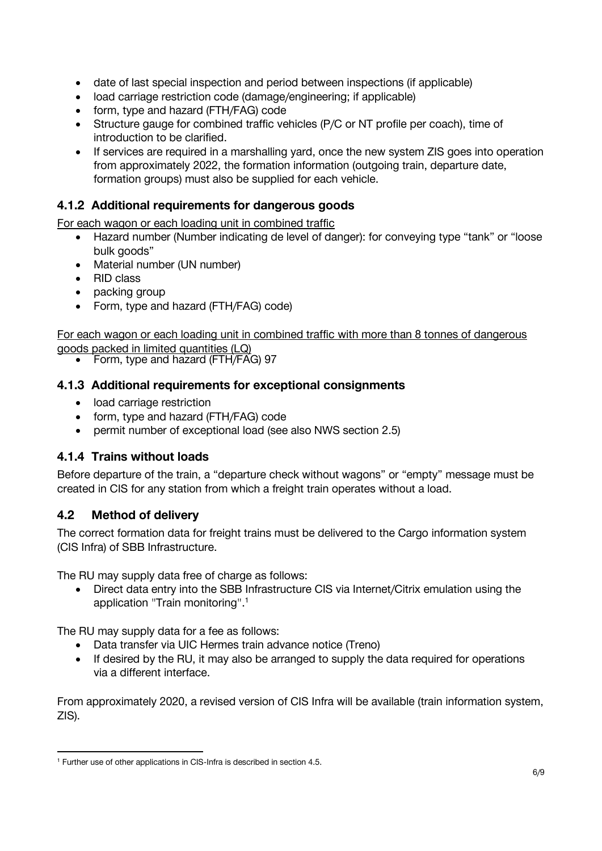- date of last special inspection and period between inspections (if applicable)
- load carriage restriction code (damage/engineering; if applicable)
- form, type and hazard (FTH/FAG) code
- Structure gauge for combined traffic vehicles (P/C or NT profile per coach), time of introduction to be clarified.
- If services are required in a marshalling yard, once the new system ZIS goes into operation from approximately 2022, the formation information (outgoing train, departure date, formation groups) must also be supplied for each vehicle.

### <span id="page-5-0"></span>**4.1.2 Additional requirements for dangerous goods**

For each wagon or each loading unit in combined traffic

- Hazard number (Number indicating de level of danger): for conveying type "tank" or "loose bulk goods"
- Material number (UN number)
- RID class
- packing group
- Form, type and hazard (FTH/FAG) code)

For each wagon or each loading unit in combined traffic with more than 8 tonnes of dangerous goods packed in limited quantities (LQ)

• Form, type and hazard (FTH/FAG) 97

#### <span id="page-5-1"></span>**4.1.3 Additional requirements for exceptional consignments**

- load carriage restriction
- form, type and hazard (FTH/FAG) code
- permit number of exceptional load (see also NWS section 2.5)

### <span id="page-5-2"></span>**4.1.4 Trains without loads**

Before departure of the train, a "departure check without wagons" or "empty" message must be created in CIS for any station from which a freight train operates without a load.

### <span id="page-5-3"></span>**4.2 Method of delivery**

The correct formation data for freight trains must be delivered to the Cargo information system (CIS Infra) of SBB Infrastructure.

The RU may supply data free of charge as follows:

• Direct data entry into the SBB Infrastructure CIS via Internet/Citrix emulation using the application "Train monitoring".<sup>1</sup>

The RU may supply data for a fee as follows:

- Data transfer via UIC Hermes train advance notice (Treno)
- If desired by the RU, it may also be arranged to supply the data required for operations via a different interface.

From approximately 2020, a revised version of CIS Infra will be available (train information system, ZIS).

<sup>-</sup><sup>1</sup> Further use of other applications in CIS-Infra is described in section 4.5.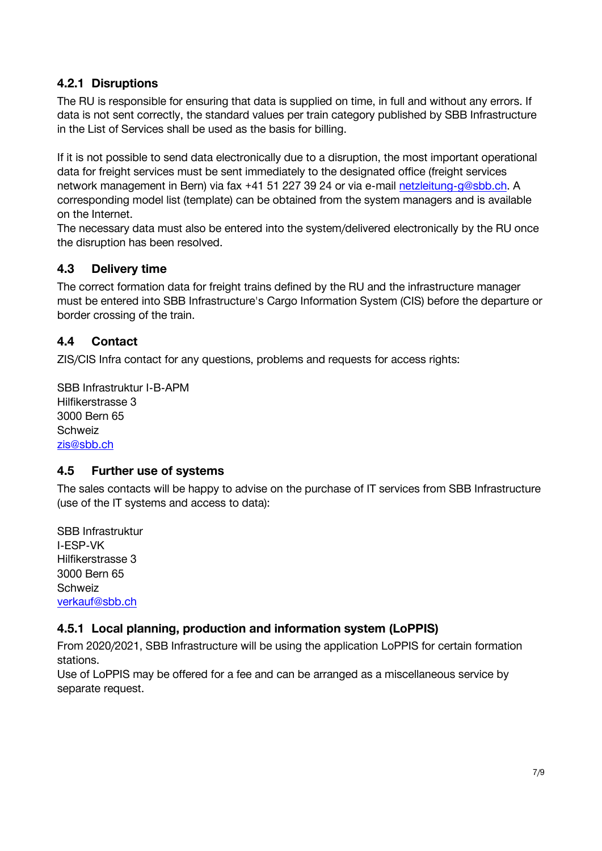### <span id="page-6-0"></span>**4.2.1 Disruptions**

The RU is responsible for ensuring that data is supplied on time, in full and without any errors. If data is not sent correctly, the standard values per train category published by SBB Infrastructure in the List of Services shall be used as the basis for billing.

If it is not possible to send data electronically due to a disruption, the most important operational data for freight services must be sent immediately to the designated office (freight services network management in Bern) via fax +41 51 227 39 24 or via e-mail [netzleitung-g@sbb.ch.](mailto:netzleitung-g@sbb.ch) A corresponding model list (template) can be obtained from the system managers and is available on the Internet.

The necessary data must also be entered into the system/delivered electronically by the RU once the disruption has been resolved.

#### <span id="page-6-1"></span>**4.3 Delivery time**

The correct formation data for freight trains defined by the RU and the infrastructure manager must be entered into SBB Infrastructure's Cargo Information System (CIS) before the departure or border crossing of the train.

#### <span id="page-6-2"></span>**4.4 Contact**

ZIS/CIS Infra contact for any questions, problems and requests for access rights:

SBB Infrastruktur I-B-APM Hilfikerstrasse 3 3000 Bern 65 **Schweiz** [zis@sbb.ch](mailto:zis@sbb.ch)

#### <span id="page-6-3"></span>**4.5 Further use of systems**

The sales contacts will be happy to advise on the purchase of IT services from SBB Infrastructure (use of the IT systems and access to data):

SBB Infrastruktur I-ESP-VK Hilfikerstrasse 3 3000 Bern 65 Schweiz [verkauf@sbb.ch](mailto:verkauf@sbb.ch)

### <span id="page-6-4"></span>**4.5.1 Local planning, production and information system (LoPPIS)**

From 2020/2021, SBB Infrastructure will be using the application LoPPIS for certain formation stations.

Use of LoPPIS may be offered for a fee and can be arranged as a miscellaneous service by separate request.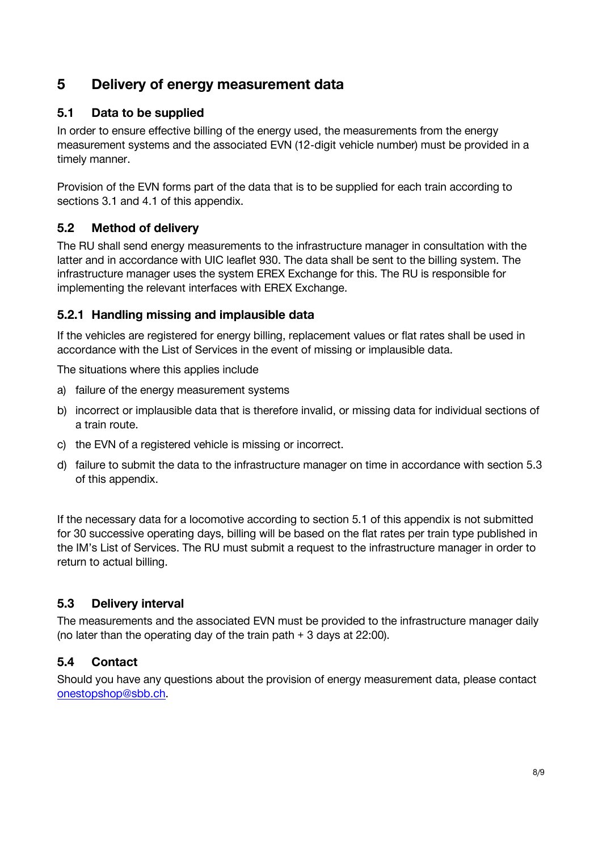# <span id="page-7-0"></span>**5 Delivery of energy measurement data**

### <span id="page-7-1"></span>**5.1 Data to be supplied**

In order to ensure effective billing of the energy used, the measurements from the energy measurement systems and the associated EVN (12-digit vehicle number) must be provided in a timely manner.

Provision of the EVN forms part of the data that is to be supplied for each train according to sections 3.1 and 4.1 of this appendix.

# <span id="page-7-2"></span>**5.2 Method of delivery**

The RU shall send energy measurements to the infrastructure manager in consultation with the latter and in accordance with UIC leaflet 930. The data shall be sent to the billing system. The infrastructure manager uses the system EREX Exchange for this. The RU is responsible for implementing the relevant interfaces with EREX Exchange.

## <span id="page-7-3"></span>**5.2.1 Handling missing and implausible data**

If the vehicles are registered for energy billing, replacement values or flat rates shall be used in accordance with the List of Services in the event of missing or implausible data.

The situations where this applies include

- a) failure of the energy measurement systems
- b) incorrect or implausible data that is therefore invalid, or missing data for individual sections of a train route.
- c) the EVN of a registered vehicle is missing or incorrect.
- d) failure to submit the data to the infrastructure manager on time in accordance with section 5.3 of this appendix.

If the necessary data for a locomotive according to section 5.1 of this appendix is not submitted for 30 successive operating days, billing will be based on the flat rates per train type published in the IM's List of Services. The RU must submit a request to the infrastructure manager in order to return to actual billing.

### <span id="page-7-4"></span>**5.3 Delivery interval**

The measurements and the associated EVN must be provided to the infrastructure manager daily (no later than the operating day of the train path + 3 days at 22:00).

### <span id="page-7-5"></span>**5.4 Contact**

Should you have any questions about the provision of energy measurement data, please contact [onestopshop@sbb.ch.](mailto:onestopshop@sbb.ch)